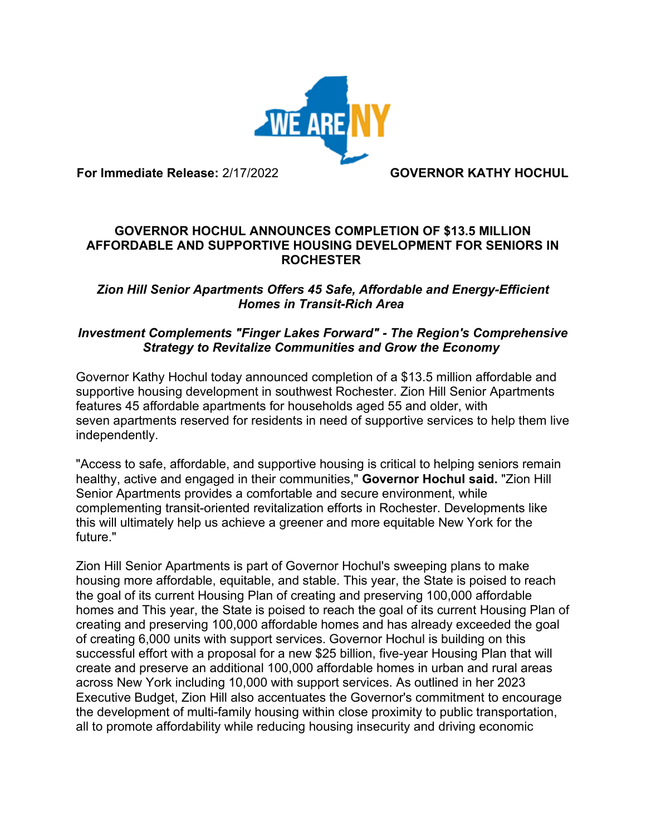

**For Immediate Release:** 2/17/2022 **GOVERNOR KATHY HOCHUL**

#### **GOVERNOR HOCHUL ANNOUNCES COMPLETION OF \$13.5 MILLION AFFORDABLE AND SUPPORTIVE HOUSING DEVELOPMENT FOR SENIORS IN ROCHESTER**

# *Zion Hill Senior Apartments Offers 45 Safe, Affordable and Energy-Efficient Homes in Transit-Rich Area*

### *Investment Complements "Finger Lakes Forward" - The Region's Comprehensive Strategy to Revitalize Communities and Grow the Economy*

Governor Kathy Hochul today announced completion of a \$13.5 million affordable and supportive housing development in southwest Rochester. Zion Hill Senior Apartments features 45 affordable apartments for households aged 55 and older, with seven apartments reserved for residents in need of supportive services to help them live independently.

"Access to safe, affordable, and supportive housing is critical to helping seniors remain healthy, active and engaged in their communities," **Governor Hochul said.** "Zion Hill Senior Apartments provides a comfortable and secure environment, while complementing transit-oriented revitalization efforts in Rochester. Developments like this will ultimately help us achieve a greener and more equitable New York for the future."

Zion Hill Senior Apartments is part of Governor Hochul's sweeping plans to make housing more affordable, equitable, and stable. This year, the State is poised to reach the goal of its current Housing Plan of creating and preserving 100,000 affordable homes and This year, the State is poised to reach the goal of its current Housing Plan of creating and preserving 100,000 affordable homes and has already exceeded the goal of creating 6,000 units with support services. Governor Hochul is building on this successful effort with a proposal for a new \$25 billion, five-year Housing Plan that will create and preserve an additional 100,000 affordable homes in urban and rural areas across New York including 10,000 with support services. As outlined in her 2023 Executive Budget, Zion Hill also accentuates the Governor's commitment to encourage the development of multi-family housing within close proximity to public transportation, all to promote affordability while reducing housing insecurity and driving economic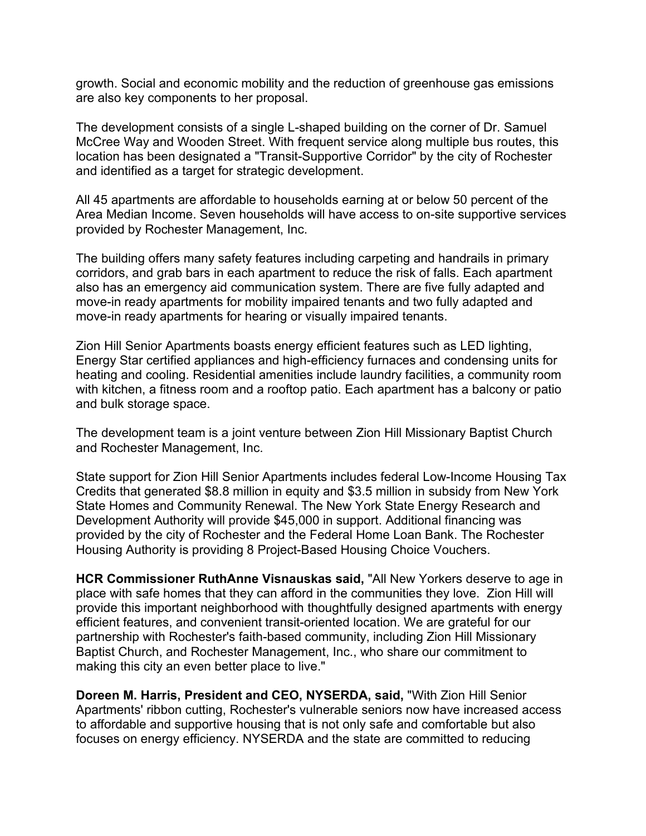growth. Social and economic mobility and the reduction of greenhouse gas emissions are also key components to her proposal.

The development consists of a single L-shaped building on the corner of Dr. Samuel McCree Way and Wooden Street. With frequent service along multiple bus routes, this location has been designated a "Transit-Supportive Corridor" by the city of Rochester and identified as a target for strategic development.

All 45 apartments are affordable to households earning at or below 50 percent of the Area Median Income. Seven households will have access to on-site supportive services provided by Rochester Management, Inc.

The building offers many safety features including carpeting and handrails in primary corridors, and grab bars in each apartment to reduce the risk of falls. Each apartment also has an emergency aid communication system. There are five fully adapted and move-in ready apartments for mobility impaired tenants and two fully adapted and move-in ready apartments for hearing or visually impaired tenants.

Zion Hill Senior Apartments boasts energy efficient features such as LED lighting, Energy Star certified appliances and high-efficiency furnaces and condensing units for heating and cooling. Residential amenities include laundry facilities, a community room with kitchen, a fitness room and a rooftop patio. Each apartment has a balcony or patio and bulk storage space.

The development team is a joint venture between Zion Hill Missionary Baptist Church and Rochester Management, Inc.

State support for Zion Hill Senior Apartments includes federal Low-Income Housing Tax Credits that generated \$8.8 million in equity and \$3.5 million in subsidy from New York State Homes and Community Renewal. The New York State Energy Research and Development Authority will provide \$45,000 in support. Additional financing was provided by the city of Rochester and the Federal Home Loan Bank. The Rochester Housing Authority is providing 8 Project-Based Housing Choice Vouchers.

**HCR Commissioner RuthAnne Visnauskas said,** "All New Yorkers deserve to age in place with safe homes that they can afford in the communities they love. Zion Hill will provide this important neighborhood with thoughtfully designed apartments with energy efficient features, and convenient transit-oriented location. We are grateful for our partnership with Rochester's faith-based community, including Zion Hill Missionary Baptist Church, and Rochester Management, Inc., who share our commitment to making this city an even better place to live."

**Doreen M. Harris, President and CEO, NYSERDA, said,** "With Zion Hill Senior Apartments' ribbon cutting, Rochester's vulnerable seniors now have increased access to affordable and supportive housing that is not only safe and comfortable but also focuses on energy efficiency. NYSERDA and the state are committed to reducing